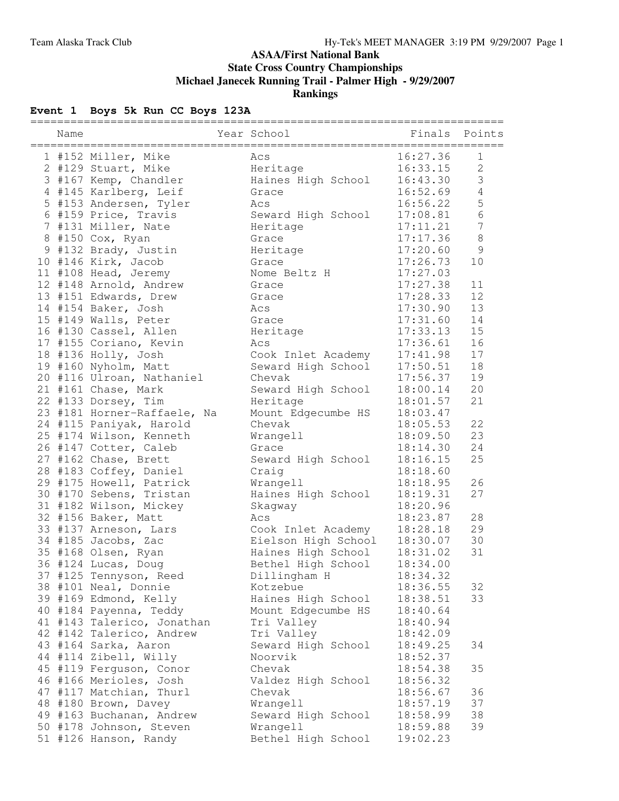### **ASAA/First National Bank State Cross Country Championships Michael Janecek Running Trail - Palmer High - 9/29/2007 Rankings**

# **Event 1 Boys 5k Run CC Boys 123A**

| ============ |                             |                     |                           |                  |
|--------------|-----------------------------|---------------------|---------------------------|------------------|
| Name         |                             | Year School         | Finals Points<br>======== |                  |
|              | 1 #152 Miller, Mike         | Acs                 | 16:27.36                  | $\mathbf{1}$     |
|              | 2 #129 Stuart, Mike         | Heritage            | 16:33.15                  | $\mathbf{2}$     |
|              | 3 #167 Kemp, Chandler       | Haines High School  | 16:43.30                  | $\mathfrak{Z}$   |
|              | 4 #145 Karlberg, Leif       | Grace               | 16:52.69                  | $\overline{4}$   |
|              | 5 #153 Andersen, Tyler      | Acs                 | 16:56.22                  | 5                |
|              | 6 #159 Price, Travis        | Seward High School  | 17:08.81                  | $6\phantom{1}6$  |
|              | 7 #131 Miller, Nate         | Heritage            | 17:11.21                  | $\boldsymbol{7}$ |
|              | 8 #150 Cox, Ryan            | Grace               | 17:17.36                  | $\,8\,$          |
|              | 9 #132 Brady, Justin        | Heritage            | 17:20.60                  | $\mathcal{G}$    |
|              | 10 #146 Kirk, Jacob         | Grace               | 17:26.73                  | 10               |
|              | 11 #108 Head, Jeremy        | Nome Beltz H        | 17:27.03                  |                  |
|              | 12 #148 Arnold, Andrew      | Grace               | 17:27.38                  | 11               |
|              | 13 #151 Edwards, Drew       | Grace               | 17:28.33                  | 12               |
|              | 14 #154 Baker, Josh         | Acs                 | 17:30.90                  | 13               |
|              | 15 #149 Walls, Peter        | Grace               | 17:31.60                  | 14               |
|              | 16 #130 Cassel, Allen       | Heritage            | 17:33.13                  | 15               |
|              | 17 #155 Coriano, Kevin      | Acs                 | 17:36.61                  | 16               |
|              | 18 #136 Holly, Josh         | Cook Inlet Academy  | 17:41.98                  | 17               |
|              | 19 #160 Nyholm, Matt        | Seward High School  | 17:50.51                  | 18               |
|              | 20 #116 Ulroan, Nathaniel   | Chevak              | 17:56.37                  | 19               |
|              | 21 #161 Chase, Mark         | Seward High School  | 18:00.14                  | 20               |
|              | 22 #133 Dorsey, Tim         | Heritage            | 18:01.57                  | 21               |
|              | 23 #181 Horner-Raffaele, Na | Mount Edgecumbe HS  | 18:03.47                  |                  |
|              | 24 #115 Paniyak, Harold     | Chevak              | 18:05.53                  | 22               |
|              | 25 #174 Wilson, Kenneth     | Wrangell            | 18:09.50                  | 23               |
|              | 26 #147 Cotter, Caleb       | Grace               | 18:14.30                  | 24               |
|              | 27 #162 Chase, Brett        | Seward High School  | 18:16.15                  | 25               |
|              | 28 #183 Coffey, Daniel      | Craig               | 18:18.60                  |                  |
|              | 29 #175 Howell, Patrick     | Wrangell            | 18:18.95                  | 26               |
|              | 30 #170 Sebens, Tristan     | Haines High School  | 18:19.31                  | 27               |
|              | 31 #182 Wilson, Mickey      | Skagway             | 18:20.96                  |                  |
|              | 32 #156 Baker, Matt         | Acs                 | 18:23.87                  | 28               |
|              | 33 #137 Arneson, Lars       | Cook Inlet Academy  | 18:28.18                  | 29               |
|              | 34 #185 Jacobs, Zac         | Eielson High School | 18:30.07                  | 30               |
|              | 35 #168 Olsen, Ryan         | Haines High School  | 18:31.02                  | 31               |
|              | 36 #124 Lucas, Doug         | Bethel High School  | 18:34.00                  |                  |
|              | 37 #125 Tennyson, Reed      | Dillingham H        | 18:34.32                  |                  |
|              | 38 #101 Neal, Donnie        | Kotzebue            | 18:36.55                  | 32               |
|              | 39 #169 Edmond, Kelly       | Haines High School  | 18:38.51                  | 33               |
|              | 40 #184 Payenna, Teddy      | Mount Edgecumbe HS  | 18:40.64                  |                  |
|              | 41 #143 Talerico, Jonathan  | Tri Valley          | 18:40.94                  |                  |
|              | 42 #142 Talerico, Andrew    | Tri Valley          | 18:42.09                  |                  |
|              | 43 #164 Sarka, Aaron        | Seward High School  | 18:49.25                  | 34               |
|              | 44 #114 Zibell, Willy       | Noorvik             | 18:52.37                  |                  |
|              | 45 #119 Ferguson, Conor     | Chevak              | 18:54.38                  | 35               |
|              | 46 #166 Merioles, Josh      | Valdez High School  | 18:56.32                  |                  |
|              | 47 #117 Matchian, Thurl     | Chevak              | 18:56.67                  | 36               |
|              | 48 #180 Brown, Davey        | Wrangell            | 18:57.19                  | 37               |
|              | 49 #163 Buchanan, Andrew    | Seward High School  | 18:58.99                  | 38               |
|              | 50 #178 Johnson, Steven     | Wrangell            | 18:59.88                  | 39               |
|              | 51 #126 Hanson, Randy       | Bethel High School  | 19:02.23                  |                  |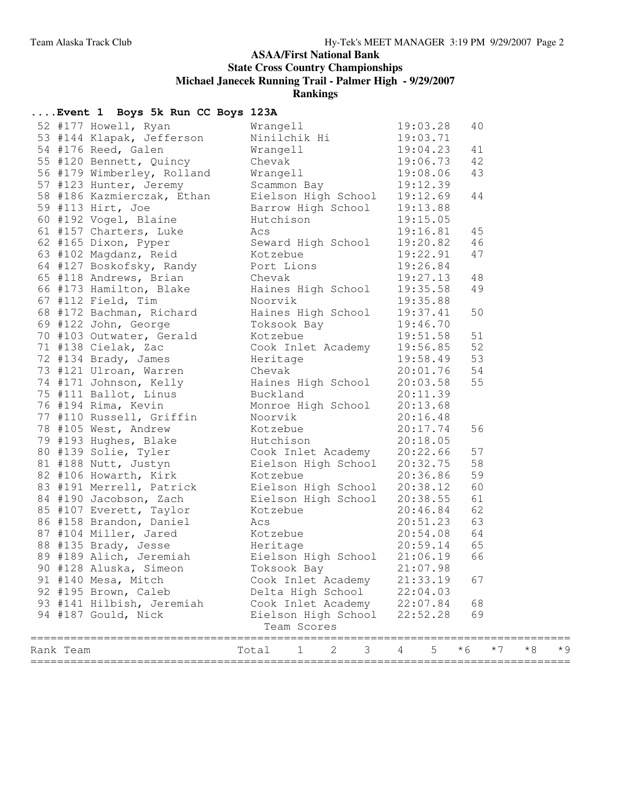#### **ASAA/First National Bank**

**State Cross Country Championships**

**Michael Janecek Running Trail - Palmer High - 9/29/2007**

**Rankings**

| Wrangell 19:03.28<br>40<br>52 #177 Howell, Ryan<br>Ninilchik Hi 19:03.71<br>53 #144 Klapak, Jefferson<br>Wrangell 19:04.23<br>54 #176 Reed, Galen<br>41<br>Chevak 19:06.73<br>Wrangell 19:08.06<br>55 #120 Bennett, Quincy<br>Chevak<br>42<br>56 #179 Wimberley, Rolland<br>43<br>57 #123 Hunter, Jeremy Scammon Bay 19:12.39<br>58 #186 Kazmierczak, Ethan Eielson High School 19:12.69<br>59 #113 Hirt, Joe Barrow High School 19:12.69<br>60 #192 Vogel, Blaine Hutchison 19:15.05<br>61 #157 Charters, Luke Acs 19:1<br>44<br>45<br>46<br>47<br>64 #127 Boskofsky, Randy Port Lions 19:26.84<br>64 #127 Boskofsky, Randy<br>65 #118 Andrews, Brian<br>66 #173 Hamilton, Blake<br>66 #173 Hamilton, Blake<br>67 #112 Field, Tim<br>Noorvik<br>87 #122 John, George<br>70 #103 Outwater, Gerald<br>71 #138 Celak, Zac<br>72 #134 Brady, James<br>72<br>48<br>49<br>50<br>51<br>52<br>53<br>54<br>55<br>77 #110 Russell, Griffin<br>Noorvik 20:16.48<br>77 #10 Russell, Griftin<br>78 #105 West, Andrew<br>79 #193 Hughes, Blake<br>80 #193 Solie, Tyler<br>106 #193 Solie, Tyler<br>106 #193 Solie, Tyler<br>106 Hughes, Blake<br>81 #188 Nutt, Justyn<br>106 Hughes Solie, Tyler<br>106 Hughes Solie,<br>56<br>57<br>58<br>59<br>60<br>61<br>62<br>63<br>64<br>65<br>89 #189 Alich, Jeremiah Kielson High School 21:06.19<br>66<br>90 #128 Aluska, Simeon<br>Toksook Bay<br>21:07.98<br>91 #140 Mesa, Mitch<br>Cook Inlet Academy<br>21:33.19<br>67<br>92 #195 Brown, Caleb<br>Delta High School<br>22:04.03<br>93 #141 Hilbish, Jeremiah<br>Cook Inlet Academy<br>68<br>22:07.84<br>Eielson High School<br>69<br>94 #187 Gould, Nick<br>22:52.28<br>Team Scores<br>==============================<br>5<br>$*6$<br>$*7$<br>$*8$<br>Total<br>2<br>3<br>4<br>Rank Team<br>$\mathbf 1$ |  | Event 1 Boys 5k Run CC Boys 123A |  |  |  |     |
|----------------------------------------------------------------------------------------------------------------------------------------------------------------------------------------------------------------------------------------------------------------------------------------------------------------------------------------------------------------------------------------------------------------------------------------------------------------------------------------------------------------------------------------------------------------------------------------------------------------------------------------------------------------------------------------------------------------------------------------------------------------------------------------------------------------------------------------------------------------------------------------------------------------------------------------------------------------------------------------------------------------------------------------------------------------------------------------------------------------------------------------------------------------------------------------------------------------------------------------------------------------------------------------------------------------------------------------------------------------------------------------------------------------------------------------------------------------------------------------------------------------------------------------------------------------------------------------------------------------------------------------------------------------------------------------------------------------------------------------------------------------------------------------|--|----------------------------------|--|--|--|-----|
|                                                                                                                                                                                                                                                                                                                                                                                                                                                                                                                                                                                                                                                                                                                                                                                                                                                                                                                                                                                                                                                                                                                                                                                                                                                                                                                                                                                                                                                                                                                                                                                                                                                                                                                                                                                        |  |                                  |  |  |  |     |
|                                                                                                                                                                                                                                                                                                                                                                                                                                                                                                                                                                                                                                                                                                                                                                                                                                                                                                                                                                                                                                                                                                                                                                                                                                                                                                                                                                                                                                                                                                                                                                                                                                                                                                                                                                                        |  |                                  |  |  |  |     |
|                                                                                                                                                                                                                                                                                                                                                                                                                                                                                                                                                                                                                                                                                                                                                                                                                                                                                                                                                                                                                                                                                                                                                                                                                                                                                                                                                                                                                                                                                                                                                                                                                                                                                                                                                                                        |  |                                  |  |  |  |     |
|                                                                                                                                                                                                                                                                                                                                                                                                                                                                                                                                                                                                                                                                                                                                                                                                                                                                                                                                                                                                                                                                                                                                                                                                                                                                                                                                                                                                                                                                                                                                                                                                                                                                                                                                                                                        |  |                                  |  |  |  |     |
|                                                                                                                                                                                                                                                                                                                                                                                                                                                                                                                                                                                                                                                                                                                                                                                                                                                                                                                                                                                                                                                                                                                                                                                                                                                                                                                                                                                                                                                                                                                                                                                                                                                                                                                                                                                        |  |                                  |  |  |  |     |
|                                                                                                                                                                                                                                                                                                                                                                                                                                                                                                                                                                                                                                                                                                                                                                                                                                                                                                                                                                                                                                                                                                                                                                                                                                                                                                                                                                                                                                                                                                                                                                                                                                                                                                                                                                                        |  |                                  |  |  |  |     |
|                                                                                                                                                                                                                                                                                                                                                                                                                                                                                                                                                                                                                                                                                                                                                                                                                                                                                                                                                                                                                                                                                                                                                                                                                                                                                                                                                                                                                                                                                                                                                                                                                                                                                                                                                                                        |  |                                  |  |  |  |     |
|                                                                                                                                                                                                                                                                                                                                                                                                                                                                                                                                                                                                                                                                                                                                                                                                                                                                                                                                                                                                                                                                                                                                                                                                                                                                                                                                                                                                                                                                                                                                                                                                                                                                                                                                                                                        |  |                                  |  |  |  |     |
|                                                                                                                                                                                                                                                                                                                                                                                                                                                                                                                                                                                                                                                                                                                                                                                                                                                                                                                                                                                                                                                                                                                                                                                                                                                                                                                                                                                                                                                                                                                                                                                                                                                                                                                                                                                        |  |                                  |  |  |  |     |
|                                                                                                                                                                                                                                                                                                                                                                                                                                                                                                                                                                                                                                                                                                                                                                                                                                                                                                                                                                                                                                                                                                                                                                                                                                                                                                                                                                                                                                                                                                                                                                                                                                                                                                                                                                                        |  |                                  |  |  |  |     |
|                                                                                                                                                                                                                                                                                                                                                                                                                                                                                                                                                                                                                                                                                                                                                                                                                                                                                                                                                                                                                                                                                                                                                                                                                                                                                                                                                                                                                                                                                                                                                                                                                                                                                                                                                                                        |  |                                  |  |  |  |     |
|                                                                                                                                                                                                                                                                                                                                                                                                                                                                                                                                                                                                                                                                                                                                                                                                                                                                                                                                                                                                                                                                                                                                                                                                                                                                                                                                                                                                                                                                                                                                                                                                                                                                                                                                                                                        |  |                                  |  |  |  |     |
|                                                                                                                                                                                                                                                                                                                                                                                                                                                                                                                                                                                                                                                                                                                                                                                                                                                                                                                                                                                                                                                                                                                                                                                                                                                                                                                                                                                                                                                                                                                                                                                                                                                                                                                                                                                        |  |                                  |  |  |  |     |
|                                                                                                                                                                                                                                                                                                                                                                                                                                                                                                                                                                                                                                                                                                                                                                                                                                                                                                                                                                                                                                                                                                                                                                                                                                                                                                                                                                                                                                                                                                                                                                                                                                                                                                                                                                                        |  |                                  |  |  |  |     |
|                                                                                                                                                                                                                                                                                                                                                                                                                                                                                                                                                                                                                                                                                                                                                                                                                                                                                                                                                                                                                                                                                                                                                                                                                                                                                                                                                                                                                                                                                                                                                                                                                                                                                                                                                                                        |  |                                  |  |  |  |     |
|                                                                                                                                                                                                                                                                                                                                                                                                                                                                                                                                                                                                                                                                                                                                                                                                                                                                                                                                                                                                                                                                                                                                                                                                                                                                                                                                                                                                                                                                                                                                                                                                                                                                                                                                                                                        |  |                                  |  |  |  |     |
|                                                                                                                                                                                                                                                                                                                                                                                                                                                                                                                                                                                                                                                                                                                                                                                                                                                                                                                                                                                                                                                                                                                                                                                                                                                                                                                                                                                                                                                                                                                                                                                                                                                                                                                                                                                        |  |                                  |  |  |  |     |
|                                                                                                                                                                                                                                                                                                                                                                                                                                                                                                                                                                                                                                                                                                                                                                                                                                                                                                                                                                                                                                                                                                                                                                                                                                                                                                                                                                                                                                                                                                                                                                                                                                                                                                                                                                                        |  |                                  |  |  |  |     |
|                                                                                                                                                                                                                                                                                                                                                                                                                                                                                                                                                                                                                                                                                                                                                                                                                                                                                                                                                                                                                                                                                                                                                                                                                                                                                                                                                                                                                                                                                                                                                                                                                                                                                                                                                                                        |  |                                  |  |  |  |     |
|                                                                                                                                                                                                                                                                                                                                                                                                                                                                                                                                                                                                                                                                                                                                                                                                                                                                                                                                                                                                                                                                                                                                                                                                                                                                                                                                                                                                                                                                                                                                                                                                                                                                                                                                                                                        |  |                                  |  |  |  |     |
|                                                                                                                                                                                                                                                                                                                                                                                                                                                                                                                                                                                                                                                                                                                                                                                                                                                                                                                                                                                                                                                                                                                                                                                                                                                                                                                                                                                                                                                                                                                                                                                                                                                                                                                                                                                        |  |                                  |  |  |  |     |
|                                                                                                                                                                                                                                                                                                                                                                                                                                                                                                                                                                                                                                                                                                                                                                                                                                                                                                                                                                                                                                                                                                                                                                                                                                                                                                                                                                                                                                                                                                                                                                                                                                                                                                                                                                                        |  |                                  |  |  |  |     |
|                                                                                                                                                                                                                                                                                                                                                                                                                                                                                                                                                                                                                                                                                                                                                                                                                                                                                                                                                                                                                                                                                                                                                                                                                                                                                                                                                                                                                                                                                                                                                                                                                                                                                                                                                                                        |  |                                  |  |  |  |     |
|                                                                                                                                                                                                                                                                                                                                                                                                                                                                                                                                                                                                                                                                                                                                                                                                                                                                                                                                                                                                                                                                                                                                                                                                                                                                                                                                                                                                                                                                                                                                                                                                                                                                                                                                                                                        |  |                                  |  |  |  |     |
|                                                                                                                                                                                                                                                                                                                                                                                                                                                                                                                                                                                                                                                                                                                                                                                                                                                                                                                                                                                                                                                                                                                                                                                                                                                                                                                                                                                                                                                                                                                                                                                                                                                                                                                                                                                        |  |                                  |  |  |  |     |
|                                                                                                                                                                                                                                                                                                                                                                                                                                                                                                                                                                                                                                                                                                                                                                                                                                                                                                                                                                                                                                                                                                                                                                                                                                                                                                                                                                                                                                                                                                                                                                                                                                                                                                                                                                                        |  |                                  |  |  |  |     |
|                                                                                                                                                                                                                                                                                                                                                                                                                                                                                                                                                                                                                                                                                                                                                                                                                                                                                                                                                                                                                                                                                                                                                                                                                                                                                                                                                                                                                                                                                                                                                                                                                                                                                                                                                                                        |  |                                  |  |  |  |     |
|                                                                                                                                                                                                                                                                                                                                                                                                                                                                                                                                                                                                                                                                                                                                                                                                                                                                                                                                                                                                                                                                                                                                                                                                                                                                                                                                                                                                                                                                                                                                                                                                                                                                                                                                                                                        |  |                                  |  |  |  |     |
|                                                                                                                                                                                                                                                                                                                                                                                                                                                                                                                                                                                                                                                                                                                                                                                                                                                                                                                                                                                                                                                                                                                                                                                                                                                                                                                                                                                                                                                                                                                                                                                                                                                                                                                                                                                        |  |                                  |  |  |  |     |
|                                                                                                                                                                                                                                                                                                                                                                                                                                                                                                                                                                                                                                                                                                                                                                                                                                                                                                                                                                                                                                                                                                                                                                                                                                                                                                                                                                                                                                                                                                                                                                                                                                                                                                                                                                                        |  |                                  |  |  |  |     |
|                                                                                                                                                                                                                                                                                                                                                                                                                                                                                                                                                                                                                                                                                                                                                                                                                                                                                                                                                                                                                                                                                                                                                                                                                                                                                                                                                                                                                                                                                                                                                                                                                                                                                                                                                                                        |  |                                  |  |  |  |     |
|                                                                                                                                                                                                                                                                                                                                                                                                                                                                                                                                                                                                                                                                                                                                                                                                                                                                                                                                                                                                                                                                                                                                                                                                                                                                                                                                                                                                                                                                                                                                                                                                                                                                                                                                                                                        |  |                                  |  |  |  |     |
|                                                                                                                                                                                                                                                                                                                                                                                                                                                                                                                                                                                                                                                                                                                                                                                                                                                                                                                                                                                                                                                                                                                                                                                                                                                                                                                                                                                                                                                                                                                                                                                                                                                                                                                                                                                        |  |                                  |  |  |  |     |
|                                                                                                                                                                                                                                                                                                                                                                                                                                                                                                                                                                                                                                                                                                                                                                                                                                                                                                                                                                                                                                                                                                                                                                                                                                                                                                                                                                                                                                                                                                                                                                                                                                                                                                                                                                                        |  |                                  |  |  |  |     |
|                                                                                                                                                                                                                                                                                                                                                                                                                                                                                                                                                                                                                                                                                                                                                                                                                                                                                                                                                                                                                                                                                                                                                                                                                                                                                                                                                                                                                                                                                                                                                                                                                                                                                                                                                                                        |  |                                  |  |  |  |     |
|                                                                                                                                                                                                                                                                                                                                                                                                                                                                                                                                                                                                                                                                                                                                                                                                                                                                                                                                                                                                                                                                                                                                                                                                                                                                                                                                                                                                                                                                                                                                                                                                                                                                                                                                                                                        |  |                                  |  |  |  |     |
|                                                                                                                                                                                                                                                                                                                                                                                                                                                                                                                                                                                                                                                                                                                                                                                                                                                                                                                                                                                                                                                                                                                                                                                                                                                                                                                                                                                                                                                                                                                                                                                                                                                                                                                                                                                        |  |                                  |  |  |  |     |
|                                                                                                                                                                                                                                                                                                                                                                                                                                                                                                                                                                                                                                                                                                                                                                                                                                                                                                                                                                                                                                                                                                                                                                                                                                                                                                                                                                                                                                                                                                                                                                                                                                                                                                                                                                                        |  |                                  |  |  |  |     |
|                                                                                                                                                                                                                                                                                                                                                                                                                                                                                                                                                                                                                                                                                                                                                                                                                                                                                                                                                                                                                                                                                                                                                                                                                                                                                                                                                                                                                                                                                                                                                                                                                                                                                                                                                                                        |  |                                  |  |  |  |     |
|                                                                                                                                                                                                                                                                                                                                                                                                                                                                                                                                                                                                                                                                                                                                                                                                                                                                                                                                                                                                                                                                                                                                                                                                                                                                                                                                                                                                                                                                                                                                                                                                                                                                                                                                                                                        |  |                                  |  |  |  |     |
|                                                                                                                                                                                                                                                                                                                                                                                                                                                                                                                                                                                                                                                                                                                                                                                                                                                                                                                                                                                                                                                                                                                                                                                                                                                                                                                                                                                                                                                                                                                                                                                                                                                                                                                                                                                        |  |                                  |  |  |  |     |
|                                                                                                                                                                                                                                                                                                                                                                                                                                                                                                                                                                                                                                                                                                                                                                                                                                                                                                                                                                                                                                                                                                                                                                                                                                                                                                                                                                                                                                                                                                                                                                                                                                                                                                                                                                                        |  |                                  |  |  |  |     |
|                                                                                                                                                                                                                                                                                                                                                                                                                                                                                                                                                                                                                                                                                                                                                                                                                                                                                                                                                                                                                                                                                                                                                                                                                                                                                                                                                                                                                                                                                                                                                                                                                                                                                                                                                                                        |  |                                  |  |  |  |     |
|                                                                                                                                                                                                                                                                                                                                                                                                                                                                                                                                                                                                                                                                                                                                                                                                                                                                                                                                                                                                                                                                                                                                                                                                                                                                                                                                                                                                                                                                                                                                                                                                                                                                                                                                                                                        |  |                                  |  |  |  |     |
|                                                                                                                                                                                                                                                                                                                                                                                                                                                                                                                                                                                                                                                                                                                                                                                                                                                                                                                                                                                                                                                                                                                                                                                                                                                                                                                                                                                                                                                                                                                                                                                                                                                                                                                                                                                        |  |                                  |  |  |  | * 9 |
|                                                                                                                                                                                                                                                                                                                                                                                                                                                                                                                                                                                                                                                                                                                                                                                                                                                                                                                                                                                                                                                                                                                                                                                                                                                                                                                                                                                                                                                                                                                                                                                                                                                                                                                                                                                        |  |                                  |  |  |  |     |